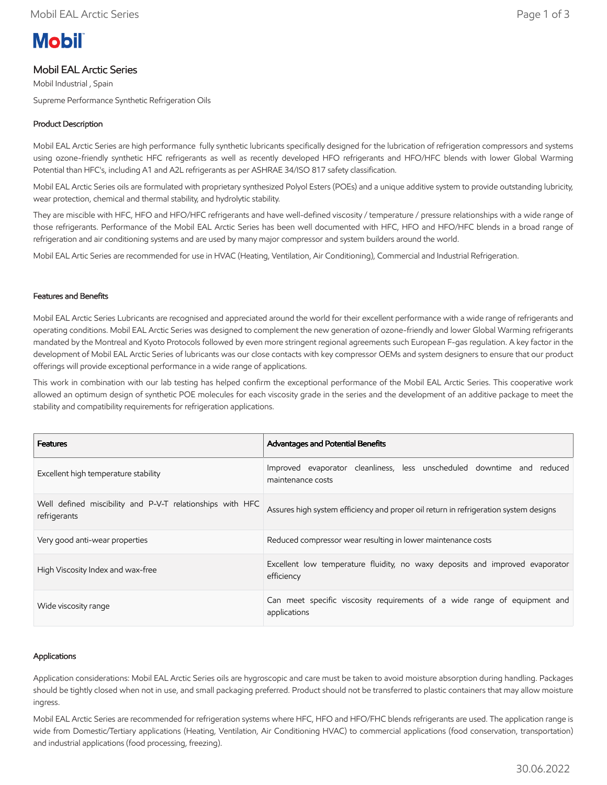# **Mobil**

# Mobil EAL Arctic Series

Mobil Industrial , Spain Supreme Performance Synthetic Refrigeration Oils

# Product Description

Mobil EAL Arctic Series are high performance fully synthetic lubricants specifically designed for the lubrication of refrigeration compressors and systems using ozone-friendly synthetic HFC refrigerants as well as recently developed HFO refrigerants and HFO/HFC blends with lower Global Warming Potential than HFC's, including A1 and A2L refrigerants as per ASHRAE 34/ISO 817 safety classification.

Mobil EAL Arctic Series oils are formulated with proprietary synthesized Polyol Esters (POEs) and a unique additive system to provide outstanding lubricity, wear protection, chemical and thermal stability, and hydrolytic stability.

They are miscible with HFC, HFO and HFO/HFC refrigerants and have well-defined viscosity / temperature / pressure relationships with a wide range of those refrigerants. Performance of the Mobil EAL Arctic Series has been well documented with HFC, HFO and HFO/HFC blends in a broad range of refrigeration and air conditioning systems and are used by many major compressor and system builders around the world.

Mobil EAL Artic Series are recommended for use in HVAC (Heating, Ventilation, Air Conditioning), Commercial and Industrial Refrigeration.

## Features and Benefits

Mobil EAL Arctic Series Lubricants are recognised and appreciated around the world for their excellent performance with a wide range of refrigerants and operating conditions. Mobil EAL Arctic Series was designed to complement the new generation of ozone-friendly and lower Global Warming refrigerants mandated by the Montreal and Kyoto Protocols followed by even more stringent regional agreements such European F-gas regulation. A key factor in the development of Mobil EAL Arctic Series of lubricants was our close contacts with key compressor OEMs and system designers to ensure that our product offerings will provide exceptional performance in a wide range of applications.

This work in combination with our lab testing has helped confirm the exceptional performance of the Mobil EAL Arctic Series. This cooperative work allowed an optimum design of synthetic POE molecules for each viscosity grade in the series and the development of an additive package to meet the stability and compatibility requirements for refrigeration applications.

| <b>Features</b>                                                           | <b>Advantages and Potential Benefits</b>                                                    |  |  |  |  |  |  |
|---------------------------------------------------------------------------|---------------------------------------------------------------------------------------------|--|--|--|--|--|--|
| Excellent high temperature stability                                      | Improved evaporator cleanliness, less unscheduled downtime and reduced<br>maintenance costs |  |  |  |  |  |  |
| Well defined miscibility and P-V-T relationships with HFC<br>refrigerants | Assures high system efficiency and proper oil return in refrigeration system designs        |  |  |  |  |  |  |
| Very good anti-wear properties                                            | Reduced compressor wear resulting in lower maintenance costs                                |  |  |  |  |  |  |
| High Viscosity Index and wax-free                                         | Excellent low temperature fluidity, no waxy deposits and improved evaporator<br>efficiency  |  |  |  |  |  |  |
| Wide viscosity range                                                      | Can meet specific viscosity requirements of a wide range of equipment and<br>applications   |  |  |  |  |  |  |

## Applications

Application considerations: Mobil EAL Arctic Series oils are hygroscopic and care must be taken to avoid moisture absorption during handling. Packages should be tightly closed when not in use, and small packaging preferred. Product should not be transferred to plastic containers that may allow moisture ingress.

Mobil EAL Arctic Series are recommended for refrigeration systems where HFC, HFO and HFO/FHC blends refrigerants are used. The application range is wide from Domestic/Tertiary applications (Heating, Ventilation, Air Conditioning HVAC) to commercial applications (food conservation, transportation) and industrial applications (food processing, freezing).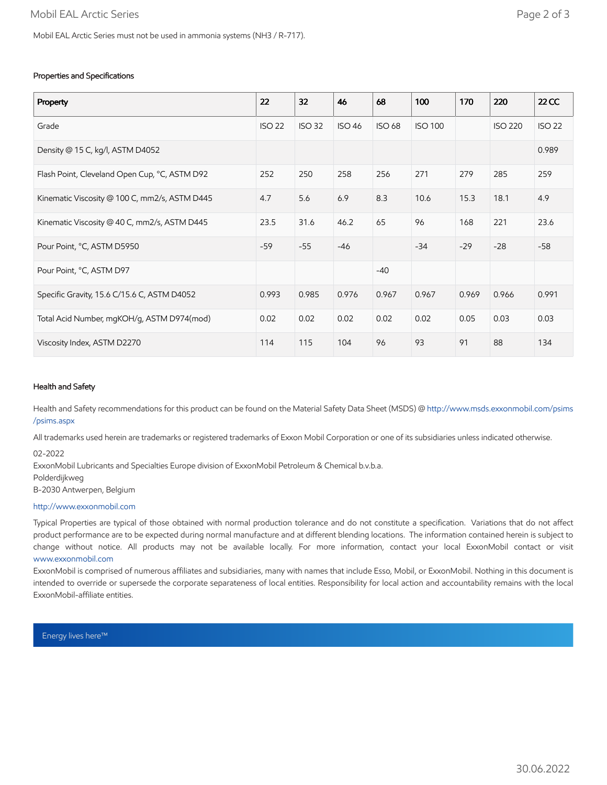### Properties and Specifications

| Property                                      | 22            | 32            | 46            | 68            | 100            | 170   | 220            | <b>22 CC</b>  |
|-----------------------------------------------|---------------|---------------|---------------|---------------|----------------|-------|----------------|---------------|
| Grade                                         | <b>ISO 22</b> | <b>ISO 32</b> | <b>ISO 46</b> | <b>ISO 68</b> | <b>ISO 100</b> |       | <b>ISO 220</b> | <b>ISO 22</b> |
| Density @ 15 C, kg/l, ASTM D4052              |               |               |               |               |                |       |                | 0.989         |
| Flash Point, Cleveland Open Cup, °C, ASTM D92 | 252           | 250           | 258           | 256           | 271            | 279   | 285            | 259           |
| Kinematic Viscosity @ 100 C, mm2/s, ASTM D445 | 4.7           | 5.6           | 6.9           | 8.3           | 10.6           | 15.3  | 18.1           | 4.9           |
| Kinematic Viscosity @ 40 C, mm2/s, ASTM D445  | 23.5          | 31.6          | 46.2          | 65            | 96             | 168   | 221            | 23.6          |
| Pour Point, °C, ASTM D5950                    | $-59$         | $-55$         | $-46$         |               | $-34$          | $-29$ | $-28$          | $-58$         |
| Pour Point, °C, ASTM D97                      |               |               |               | $-40$         |                |       |                |               |
| Specific Gravity, 15.6 C/15.6 C, ASTM D4052   | 0.993         | 0.985         | 0.976         | 0.967         | 0.967          | 0.969 | 0.966          | 0.991         |
| Total Acid Number, mgKOH/g, ASTM D974(mod)    | 0.02          | 0.02          | 0.02          | 0.02          | 0.02           | 0.05  | 0.03           | 0.03          |
| Viscosity Index, ASTM D2270                   | 114           | 115           | 104           | 96            | 93             | 91    | 88             | 134           |

#### Health and Safety

Health and Safety recommendations for this product can be found on the Material Safety Data Sheet (MSDS) @ [http://www.msds.exxonmobil.com/psims](http://www.msds.exxonmobil.com/psims/psims.aspx) /psims.aspx

All trademarks used herein are trademarks or registered trademarks of Exxon Mobil Corporation or one of its subsidiaries unless indicated otherwise.

02-2022

ExxonMobil Lubricants and Specialties Europe division of ExxonMobil Petroleum & Chemical b.v.b.a. Polderdijkweg B-2030 Antwerpen, Belgium

#### [http://www.exxonmobil.com](http://www.exxonmobil.com/)

Typical Properties are typical of those obtained with normal production tolerance and do not constitute a specification. Variations that do not affect product performance are to be expected during normal manufacture and at different blending locations. The information contained herein is subject to change without notice. All products may not be available locally. For more information, contact your local ExxonMobil contact or visit [www.exxonmobil.com](http://www.exxonmobil.com/)

ExxonMobil is comprised of numerous affiliates and subsidiaries, many with names that include Esso, Mobil, or ExxonMobil. Nothing in this document is intended to override or supersede the corporate separateness of local entities. Responsibility for local action and accountability remains with the local ExxonMobil-affiliate entities.

Energy lives here™